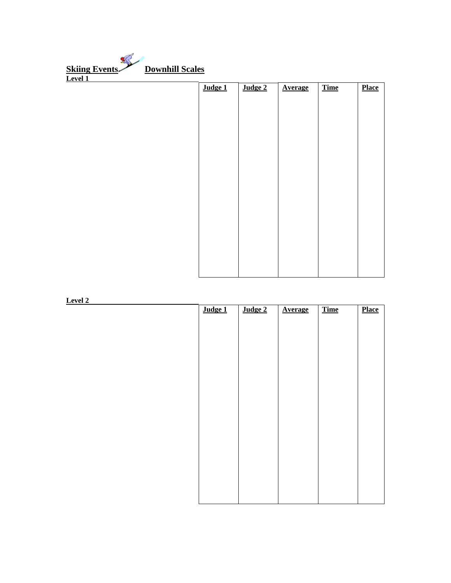| <b>Skiing Events</b><br><b>Downhill Scales</b> |         |         |                |             |              |
|------------------------------------------------|---------|---------|----------------|-------------|--------------|
| Level 1                                        |         |         |                |             |              |
|                                                | Judge 1 | Judge 2 | <b>Average</b> | <b>Time</b> | <b>Place</b> |
|                                                |         |         |                |             |              |
|                                                |         |         |                |             |              |
|                                                |         |         |                |             |              |
|                                                |         |         |                |             |              |
|                                                |         |         |                |             |              |
|                                                |         |         |                |             |              |
|                                                |         |         |                |             |              |
|                                                |         |         |                |             |              |
|                                                |         |         |                |             |              |
|                                                |         |         |                |             |              |
|                                                |         |         |                |             |              |
|                                                |         |         |                |             |              |

| <b>Level 2</b> |         |         |                |      |              |
|----------------|---------|---------|----------------|------|--------------|
|                | Judge 1 | Judge 2 | <b>Average</b> | Time | <b>Place</b> |
|                |         |         |                |      |              |
|                |         |         |                |      |              |
|                |         |         |                |      |              |
|                |         |         |                |      |              |
|                |         |         |                |      |              |
|                |         |         |                |      |              |
|                |         |         |                |      |              |
|                |         |         |                |      |              |
|                |         |         |                |      |              |
|                |         |         |                |      |              |
|                |         |         |                |      |              |
|                |         |         |                |      |              |
|                |         |         |                |      |              |
|                |         |         |                |      |              |
|                |         |         |                |      |              |
|                |         |         |                |      |              |
|                |         |         |                |      |              |
|                |         |         |                |      |              |
|                |         |         |                |      |              |
|                |         |         |                |      |              |
|                |         |         |                |      |              |
|                |         |         |                |      |              |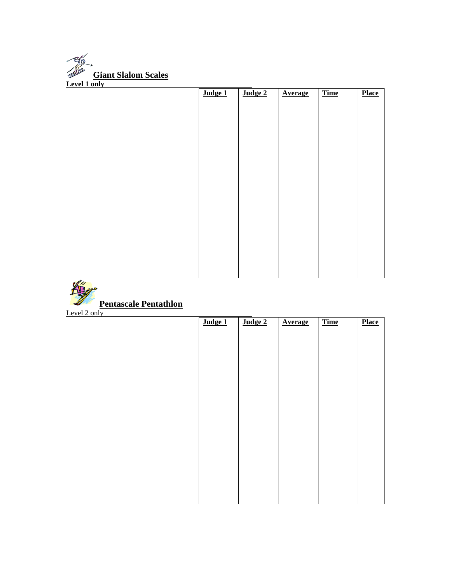

| Judge 1 | Judge 2 | <b>Average</b> | <b>Time</b> | <b>Place</b> |
|---------|---------|----------------|-------------|--------------|
|         |         |                |             |              |
|         |         |                |             |              |
|         |         |                |             |              |
|         |         |                |             |              |
|         |         |                |             |              |
|         |         |                |             |              |
|         |         |                |             |              |
|         |         |                |             |              |
|         |         |                |             |              |
|         |         |                |             |              |
|         |         |                |             |              |
|         |         |                |             |              |
|         |         |                |             |              |
|         |         |                |             |              |
|         |         |                |             |              |
|         |         |                |             |              |



## **Pentascale Pentathlon**

Level  $2 \text{ only}$ 

| $\overline{\text{Judge 1}}$ | Judge 2 | <b>Average</b> | <b>Time</b> | <b>Place</b> |
|-----------------------------|---------|----------------|-------------|--------------|
|                             |         |                |             |              |
|                             |         |                |             |              |
|                             |         |                |             |              |
|                             |         |                |             |              |
|                             |         |                |             |              |
|                             |         |                |             |              |
|                             |         |                |             |              |
|                             |         |                |             |              |
|                             |         |                |             |              |
|                             |         |                |             |              |
|                             |         |                |             |              |
|                             |         |                |             |              |
|                             |         |                |             |              |
|                             |         |                |             |              |
|                             |         |                |             |              |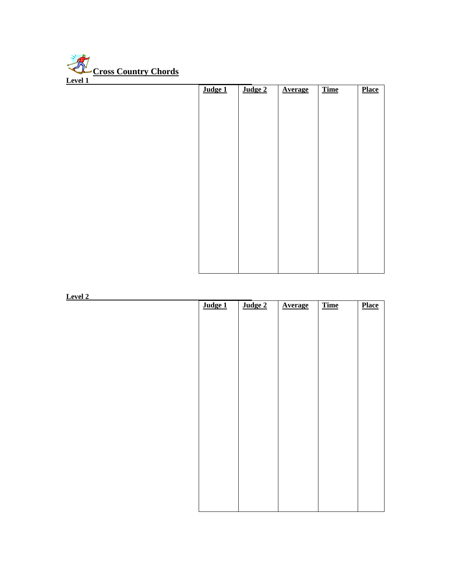

| Judge 1 | Judge 2 | <b>Average</b> | <b>Time</b> | <b>Place</b> |
|---------|---------|----------------|-------------|--------------|
|         |         |                |             |              |
|         |         |                |             |              |
|         |         |                |             |              |
|         |         |                |             |              |
|         |         |                |             |              |
|         |         |                |             |              |
|         |         |                |             |              |
|         |         |                |             |              |
|         |         |                |             |              |
|         |         |                |             |              |
|         |         |                |             |              |
|         |         |                |             |              |
|         |         |                |             |              |
|         |         |                |             |              |
|         |         |                |             |              |

**Level 2** 

| Judge 1 | Judge 2 | <b>Average</b> | <b>Time</b> | <b>Place</b> |
|---------|---------|----------------|-------------|--------------|
|         |         |                |             |              |
|         |         |                |             |              |
|         |         |                |             |              |
|         |         |                |             |              |
|         |         |                |             |              |
|         |         |                |             |              |
|         |         |                |             |              |
|         |         |                |             |              |
|         |         |                |             |              |
|         |         |                |             |              |
|         |         |                |             |              |
|         |         |                |             |              |
|         |         |                |             |              |
|         |         |                |             |              |
|         |         |                |             |              |
|         |         |                |             |              |
|         |         |                |             |              |
|         |         |                |             |              |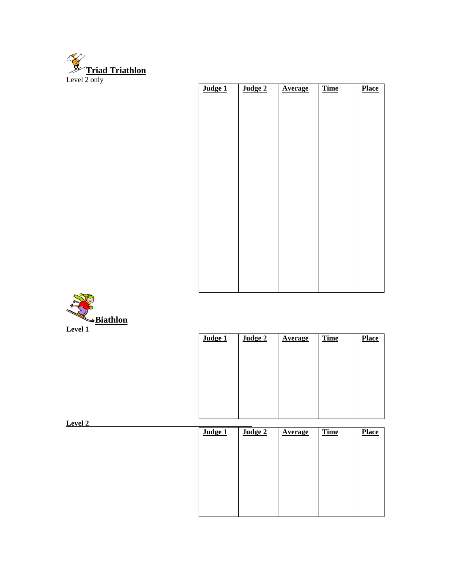

| Judge 1 | Judge 2 | <b>Average</b> | <b>Time</b> | <b>Place</b> |
|---------|---------|----------------|-------------|--------------|
|         |         |                |             |              |
|         |         |                |             |              |
|         |         |                |             |              |
|         |         |                |             |              |
|         |         |                |             |              |
|         |         |                |             |              |
|         |         |                |             |              |
|         |         |                |             |              |
|         |         |                |             |              |
|         |         |                |             |              |
|         |         |                |             |              |
|         |         |                |             |              |
|         |         |                |             |              |
|         |         |                |             |              |
|         |         |                |             |              |
|         |         |                |             |              |
|         |         |                |             |              |
|         |         |                |             |              |



| $L$ <sub>U</sub> |         |         |                |             |              |
|------------------|---------|---------|----------------|-------------|--------------|
|                  | Judge 1 | Judge 2 | <b>Average</b> | <b>Time</b> | <b>Place</b> |
|                  |         |         |                |             |              |
|                  |         |         |                |             |              |
|                  |         |         |                |             |              |
|                  |         |         |                |             |              |
|                  |         |         |                |             |              |
|                  |         |         |                |             |              |
|                  |         |         |                |             |              |
| Level 2          |         |         |                |             |              |

| Judge 1 | Judge 2 | <b>Average</b> | <b>Time</b> | <b>Place</b> |
|---------|---------|----------------|-------------|--------------|
|         |         |                |             |              |
|         |         |                |             |              |
|         |         |                |             |              |
|         |         |                |             |              |
|         |         |                |             |              |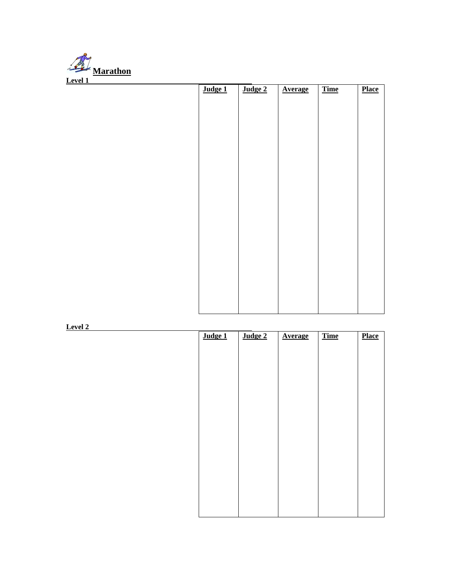

| Judge 1 | Judge 2 | <b>Average</b> | <b>Time</b> | <b>Place</b> |
|---------|---------|----------------|-------------|--------------|
|         |         |                |             |              |
|         |         |                |             |              |
|         |         |                |             |              |
|         |         |                |             |              |
|         |         |                |             |              |
|         |         |                |             |              |
|         |         |                |             |              |
|         |         |                |             |              |
|         |         |                |             |              |
|         |         |                |             |              |
|         |         |                |             |              |
|         |         |                |             |              |
|         |         |                |             |              |
|         |         |                |             |              |
|         |         |                |             |              |
|         |         |                |             |              |
|         |         |                |             |              |

**Level 2** 

| Judge 1 | Judge 2 | <b>Average</b> | <b>Time</b> | <b>Place</b> |
|---------|---------|----------------|-------------|--------------|
|         |         |                |             |              |
|         |         |                |             |              |
|         |         |                |             |              |
|         |         |                |             |              |
|         |         |                |             |              |
|         |         |                |             |              |
|         |         |                |             |              |
|         |         |                |             |              |
|         |         |                |             |              |
|         |         |                |             |              |
|         |         |                |             |              |
|         |         |                |             |              |
|         |         |                |             |              |
|         |         |                |             |              |
|         |         |                |             |              |
|         |         |                |             |              |
|         |         |                |             |              |
|         |         |                |             |              |
|         |         |                |             |              |
|         |         |                |             |              |
|         |         |                |             |              |
|         |         |                |             |              |
|         |         |                |             |              |
|         |         |                |             |              |
|         |         |                |             |              |
|         |         |                |             |              |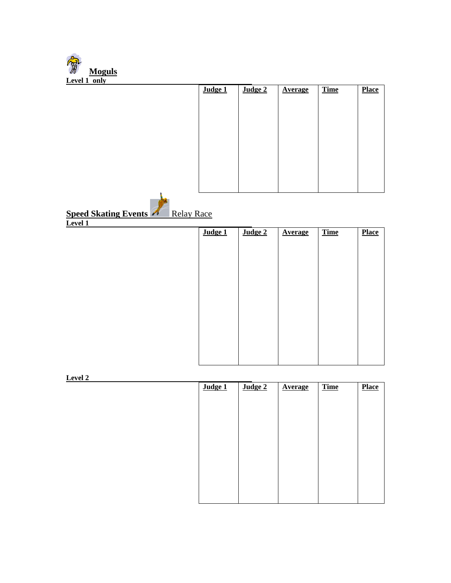| <b>Moguls</b>                                    |         |         |                |             |              |
|--------------------------------------------------|---------|---------|----------------|-------------|--------------|
| Level 1 only                                     |         |         |                |             |              |
|                                                  | Judge 1 | Judge 2 | <b>Average</b> | <b>Time</b> | <b>Place</b> |
|                                                  |         |         |                |             |              |
|                                                  |         |         |                |             |              |
|                                                  |         |         |                |             |              |
|                                                  |         |         |                |             |              |
|                                                  |         |         |                |             |              |
|                                                  |         |         |                |             |              |
|                                                  |         |         |                |             |              |
|                                                  |         |         |                |             |              |
|                                                  |         |         |                |             |              |
|                                                  |         |         |                |             |              |
|                                                  |         |         |                |             |              |
|                                                  |         |         |                |             |              |
| <b>Speed Skating Events</b><br><b>Relay Race</b> |         |         |                |             |              |
| $L$ <sub>evel</sub> $1$                          |         |         |                |             |              |
|                                                  |         |         |                |             |              |
|                                                  | Judge 1 | Judge 2 | <b>Average</b> | <b>Time</b> | <b>Place</b> |
|                                                  |         |         |                |             |              |
|                                                  |         |         |                |             |              |
|                                                  |         |         |                |             |              |
|                                                  |         |         |                |             |              |
|                                                  |         |         |                |             |              |
|                                                  |         |         |                |             |              |
|                                                  |         |         |                |             |              |
|                                                  |         |         |                |             |              |
|                                                  |         |         |                |             |              |
|                                                  |         |         |                |             |              |
|                                                  |         |         |                |             |              |
|                                                  |         |         |                |             |              |
|                                                  |         |         |                |             |              |
|                                                  |         |         |                |             |              |
| Level 2                                          |         |         |                |             |              |
|                                                  | Judge 1 | Judge 2 | <b>Average</b> | Time        | <b>Place</b> |

| Judge 1 | Judge 2 | <b>Average</b> | <b>Time</b> | <b>Place</b> |
|---------|---------|----------------|-------------|--------------|
|         |         |                |             |              |
|         |         |                |             |              |
|         |         |                |             |              |
|         |         |                |             |              |
|         |         |                |             |              |
|         |         |                |             |              |
|         |         |                |             |              |
|         |         |                |             |              |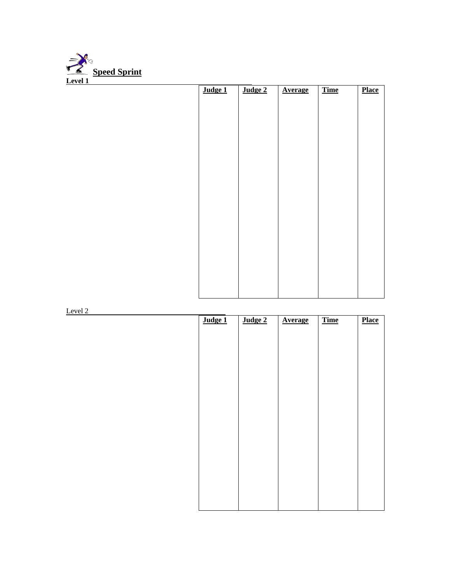

| Judge 1 | Judge 2 | <b>Average</b> | <b>Time</b> | <b>Place</b> |
|---------|---------|----------------|-------------|--------------|
|         |         |                |             |              |
|         |         |                |             |              |
|         |         |                |             |              |
|         |         |                |             |              |
|         |         |                |             |              |
|         |         |                |             |              |
|         |         |                |             |              |
|         |         |                |             |              |
|         |         |                |             |              |
|         |         |                |             |              |
|         |         |                |             |              |
|         |         |                |             |              |
|         |         |                |             |              |
|         |         |                |             |              |
|         |         |                |             |              |
|         |         |                |             |              |

Level 2

| Judge 1 | Judge 2 | <b>Average</b> | <b>Time</b> | <b>Place</b> |
|---------|---------|----------------|-------------|--------------|
|         |         |                |             |              |
|         |         |                |             |              |
|         |         |                |             |              |
|         |         |                |             |              |
|         |         |                |             |              |
|         |         |                |             |              |
|         |         |                |             |              |
|         |         |                |             |              |
|         |         |                |             |              |
|         |         |                |             |              |
|         |         |                |             |              |
|         |         |                |             |              |
|         |         |                |             |              |
|         |         |                |             |              |
|         |         |                |             |              |
|         |         |                |             |              |
|         |         |                |             |              |
|         |         |                |             |              |
|         |         |                |             |              |
|         |         |                |             |              |
|         |         |                |             |              |
|         |         |                |             |              |
|         |         |                |             |              |
|         |         |                |             |              |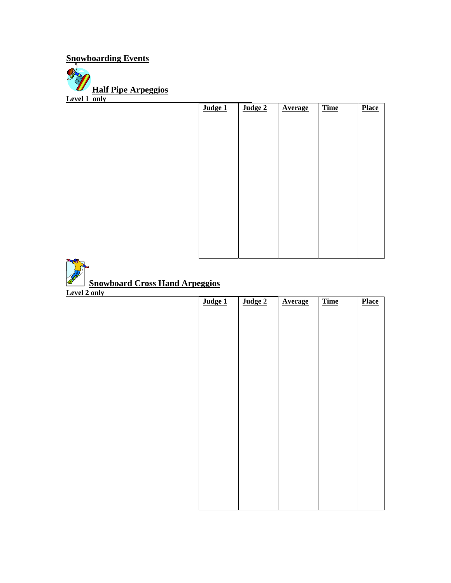**Snowboarding Events Half Pipe Arpeggios**

**Level 1 only** 

| Judge 1 | Judge 2 | <b>Average</b> | <b>Time</b> | <b>Place</b> |
|---------|---------|----------------|-------------|--------------|
|         |         |                |             |              |
|         |         |                |             |              |
|         |         |                |             |              |
|         |         |                |             |              |
|         |         |                |             |              |
|         |         |                |             |              |
|         |         |                |             |              |
|         |         |                |             |              |
|         |         |                |             |              |
|         |         |                |             |              |
|         |         |                |             |              |
|         |         |                |             |              |
|         |         |                |             |              |
|         |         |                |             |              |

**All Contracts** 

| Level 2 only | Judge 1 | Judge 2 | <b>Average</b> | <b>Time</b> | <b>Place</b> |
|--------------|---------|---------|----------------|-------------|--------------|
|              |         |         |                |             |              |
|              |         |         |                |             |              |
|              |         |         |                |             |              |
|              |         |         |                |             |              |
|              |         |         |                |             |              |
|              |         |         |                |             |              |
|              |         |         |                |             |              |
|              |         |         |                |             |              |
|              |         |         |                |             |              |
|              |         |         |                |             |              |
|              |         |         |                |             |              |
|              |         |         |                |             |              |
|              |         |         |                |             |              |
|              |         |         |                |             |              |